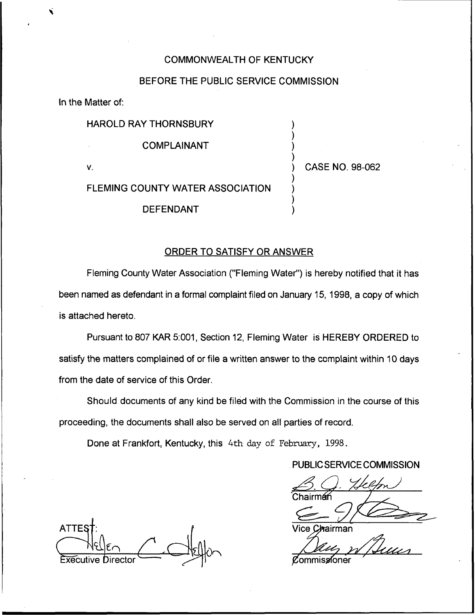### COMMONWEALTH OF KENTUCKY

## BEFORE THE PUBLIC SERVICE COMMISSION

In the Matter of:

### HAROLD RAY THORNSBURY

COMPLAINANT

 $V_{\rm r}$ 

) CASE NO. 98-062

) ) ) )

) ) ) )

# FLEMING COUNTY WATER ASSOCIATION

DEFENDANT

### ORDER TO SATISFY OR ANSWER

Fleming County Water Association ("Fleming Water") is hereby notified that it has been named as defendant in a formal complaint filed on January 15, 1998, a copy of which is attached hereto.

Pursuant to 807 KAR 5:001, Section 12, Fleming Water is HEREBY ORDERED to satisfy the matters complained of or file a written answer to the complaint within 10 days from the date of service of this Order.

Should documents of any kind be filed with the Commission in the course of this proceeding, the documents shall also be served on all parties of record.

Done at Frankfort, Kentucky, this 4th day of February, 1998.

. PUBLIC SERVICE COMMISSION

Chairm&

**ATTE:**  $\mathbb{C}$  Helen  $\frac{\sqrt{|\epsilon|}}{\sqrt{|\epsilon|}}$   $\frac{\sqrt{|\epsilon|}}{\sqrt{|\epsilon|}}$ 

**h**airman.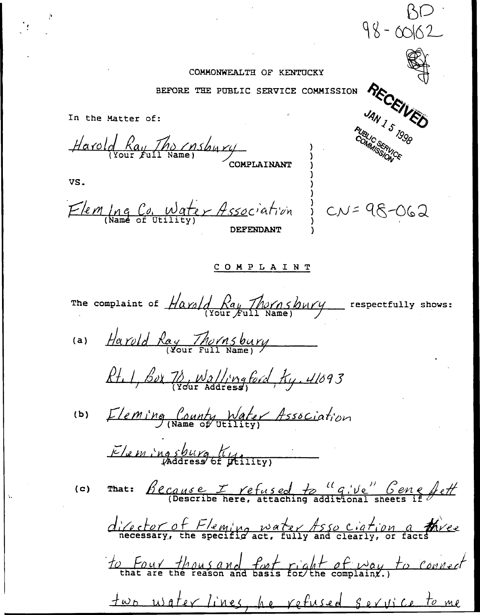#### COMMONWEALTH OF KENTUCKY

 $98 - 00162$ 

BEFORE THE PUBLIC SERVICE COMMISSION

RECEIVED JAN 1 5 1998 In the Matter of: Harold Ray The Insbury **OMPLAINANT** VS. Fleming Co. Water Association  $2^{1}$  CN = 98-062 **DEFENDANT** COMPLAINT The complaint of  $\frac{\text{Max}}{\text{Var}}\left(\frac{\text{Max}}{\text{Var}}\right)$   $\frac{\text{Max}}{\text{Var}}\left(\frac{\text{Max}}{\text{Var}}\right)$  respectfully shows: Harold Ray Thornsbury  $(a)$ Rt. 1, Box 76, Wallingford, Ky. 41093 (b) Eleming County Water Association Elemingsburg K That: Because I refused to "give" Gene fett  $(c)$ director of Fleming water Asso ciation a three to Four thousand fort right of way to connect two usater lines, he refused service to me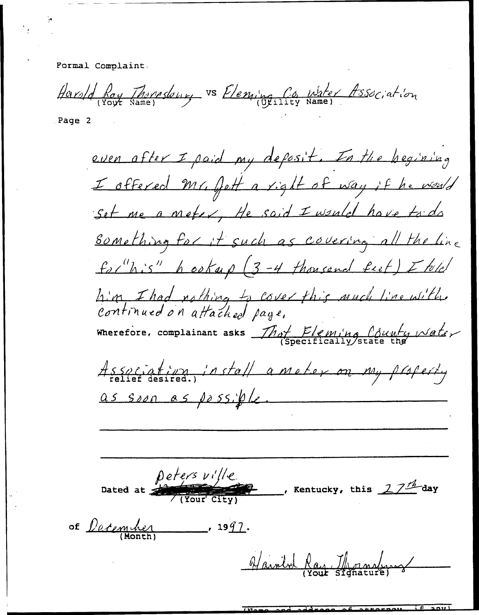Pormal Complaint.

Harsed Ray Thomsdown, vs Eleming Co Water Association

Page 2

even after I paid my deposit. In the hegining I offered Mr. fett a right of way if he would Set me a meter, He said I would have to do something for it such as covering all the line for"his" heaterp (3-4 thousand feet) I told him I had nothing to cover this much line with.<br>Continued on attached page, Wherefore, complainant asks That Eleming County water Association, install a motor on my property as soon as possible peters ville Dated at  $\frac{1}{\sqrt{\frac{1}{N}}}\frac{1}{\sqrt{\frac{1}{N}}}}$ Rentucky, this  $27^{\frac{A}{2}}$ day of *December*  $.1991.$ Varold Ray Mornaly